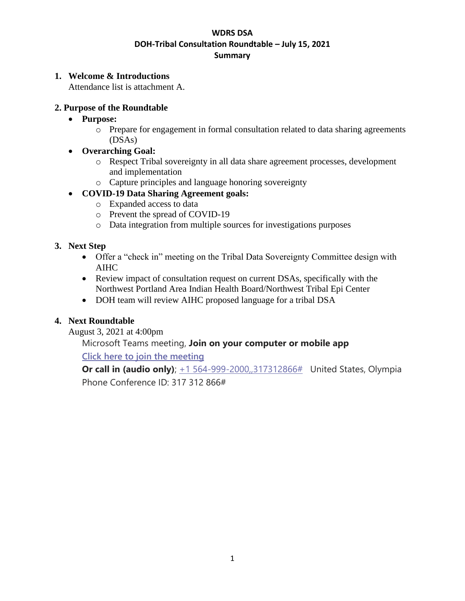#### **WDRS DSA DOH-Tribal Consultation Roundtable – July 15, 2021 Summary**

#### **1. Welcome & Introductions**

Attendance list is attachment A.

#### **2. Purpose of the Roundtable**

- **Purpose:** 
	- o Prepare for engagement in formal consultation related to data sharing agreements (DSAs)
- **Overarching Goal:**
	- o Respect Tribal sovereignty in all data share agreement processes, development and implementation
	- o Capture principles and language honoring sovereignty

## • **COVID-19 Data Sharing Agreement goals:**

- o Expanded access to data
- o Prevent the spread of COVID-19
- o Data integration from multiple sources for investigations purposes

## **3. Next Step**

- Offer a "check in" meeting on the Tribal Data Sovereignty Committee design with AIHC
- Review impact of consultation request on current DSAs, specifically with the Northwest Portland Area Indian Health Board/Northwest Tribal Epi Center
- DOH team will review AIHC proposed language for a tribal DSA

## **4. Next Roundtable**

August 3, 2021 at 4:00pm

# Microsoft Teams meeting, **Join on your computer or mobile app**

**[Click here to join the meeting](https://teams.microsoft.com/l/meetup-join/19%3ameeting_YmE0ZDhmZmYtNTAxNS00MjczLWFlMjItNmJiZWZhNjViY2Nj%40thread.v2/0?context=%7b%22Tid%22%3a%2211d0e217-264e-400a-8ba0-57dcc127d72d%22%2c%22Oid%22%3a%22aefc3d53-274b-4fed-921a-cfde5aa6a1da%22%7d)**

**Or call in (audio only)**;  $+1\,564-999-2000,317312866#$  United States, Olympia Phone Conference ID: 317 312 866#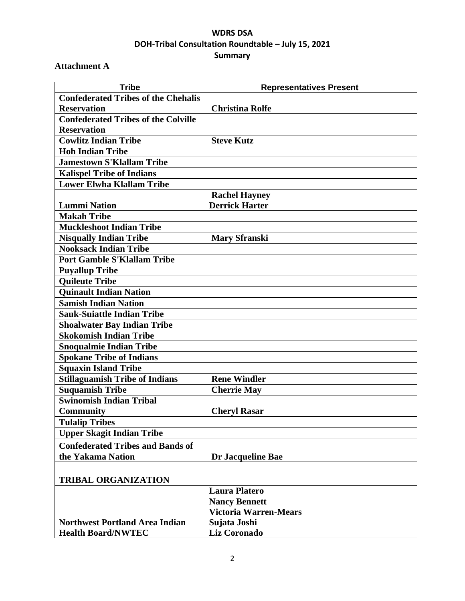# **WDRS DSA DOH-Tribal Consultation Roundtable – July 15, 2021 Summary**

# **Attachment A**

| <b>Tribe</b>                               | <b>Representatives Present</b> |
|--------------------------------------------|--------------------------------|
| <b>Confederated Tribes of the Chehalis</b> |                                |
| <b>Reservation</b>                         | <b>Christina Rolfe</b>         |
| <b>Confederated Tribes of the Colville</b> |                                |
| <b>Reservation</b>                         |                                |
| <b>Cowlitz Indian Tribe</b>                | <b>Steve Kutz</b>              |
| <b>Hoh Indian Tribe</b>                    |                                |
| <b>Jamestown S'Klallam Tribe</b>           |                                |
| <b>Kalispel Tribe of Indians</b>           |                                |
| <b>Lower Elwha Klallam Tribe</b>           |                                |
|                                            | <b>Rachel Hayney</b>           |
| <b>Lummi Nation</b>                        | <b>Derrick Harter</b>          |
| <b>Makah Tribe</b>                         |                                |
| <b>Muckleshoot Indian Tribe</b>            |                                |
| <b>Nisqually Indian Tribe</b>              | <b>Mary Sfranski</b>           |
| <b>Nooksack Indian Tribe</b>               |                                |
| <b>Port Gamble S'Klallam Tribe</b>         |                                |
| <b>Puyallup Tribe</b>                      |                                |
| <b>Quileute Tribe</b>                      |                                |
| <b>Quinault Indian Nation</b>              |                                |
| <b>Samish Indian Nation</b>                |                                |
| <b>Sauk-Suiattle Indian Tribe</b>          |                                |
| <b>Shoalwater Bay Indian Tribe</b>         |                                |
| <b>Skokomish Indian Tribe</b>              |                                |
| <b>Snoqualmie Indian Tribe</b>             |                                |
| <b>Spokane Tribe of Indians</b>            |                                |
| <b>Squaxin Island Tribe</b>                |                                |
| <b>Stillaguamish Tribe of Indians</b>      | <b>Rene Windler</b>            |
| <b>Suquamish Tribe</b>                     | <b>Cherrie May</b>             |
| Swinomish Indian Tribal                    |                                |
| <b>Community</b>                           | <b>Cheryl Rasar</b>            |
| <b>Tulalip Tribes</b>                      |                                |
| <b>Upper Skagit Indian Tribe</b>           |                                |
| <b>Confederated Tribes and Bands of</b>    |                                |
| the Yakama Nation                          | Dr Jacqueline Bae              |
|                                            |                                |
| <b>TRIBAL ORGANIZATION</b>                 |                                |
|                                            | <b>Laura Platero</b>           |
|                                            | <b>Nancy Bennett</b>           |
|                                            | <b>Victoria Warren-Mears</b>   |
| <b>Northwest Portland Area Indian</b>      | Sujata Joshi                   |
| <b>Health Board/NWTEC</b>                  | <b>Liz Coronado</b>            |